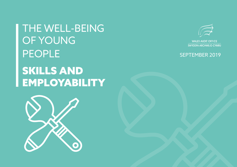THE WELL-BEING OF YOUNG PEOPLE SKILLS AND **EMPLOYABILITY** 





SWYDDFA ARCHWILIO CYMRU

# SEPTEMBER 2019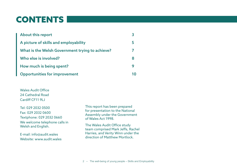# CONTENTS

| <b>About this report</b>                        |   |
|-------------------------------------------------|---|
| A picture of skills and employability           | Ь |
| What is the Welsh Government trying to achieve? |   |
| Who else is involved?                           | 8 |
| How much is being spent?                        |   |
| <b>Opportunities for improvement</b>            |   |

Wales Audit Office 24 Cathedral Road Cardiff CF11 9LL

Tel: 029 2032 0500 Fax: 029 2032 0600 Textphone: 029 2032 0660 We welcome telephone calls in Welsh and English.

E-mail: info@audit.wales Website: www.audit.wales This report has been prepared for presentation to the National Assembly under the Government of Wales Act 1998.

The Wales Audit Office study team comprised Mark Jeffs, Rachel Harries, and Verity Winn under the direction of Matthew Mortlock.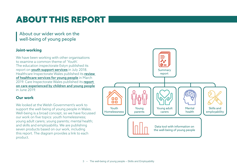# ABOUT THIS REPORT

About our wider work on the well-being of young people

## **Joint-working**

We have been working with other organisations to examine a common theme of 'Youth'. The education inspectorate Estyn published its report on **[youth support services](https://www.estyn.gov.wales/thematic-reports/youth-support-services-wales)** in July 2018. Healthcare Inspectorate Wales published its review [of healthcare services for young people](https://hiw.org.uk/hiw-publishes-review-healthcare-services-young-people) in March 2019. Care Inspectorate Wales published its report [on care experienced by children and young people](https://careinspectorate.wales/sites/default/files/2019-06/190619-national-overview-report-en_2.pdf) in June 2019.

## **Our work**

We looked at the Welsh Government's work to support the well-being of young people in Wales. Well-being is a broad concept, so we have focussed our work on five topics: youth homelessness; young adult carers; young parents; mental health; and skills and employability. We are publishing seven products based on our work, including this report. The diagram provides a link to each product.

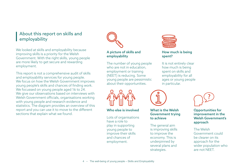# About this report on skills and employability

We looked at skills and employability because improving skills is a priority for the Welsh Government. With the right skills, young people are more likely to get secure and rewarding employment.

This report is not a comprehensive audit of skills and employability services for young people. We focus on how the Welsh Government improves young people's skills and chances of finding work. We focussed on young people aged 16 to 24. We give our observations based on interviews with Welsh Government officials, organisations working with young people and research evidence and statistics. The diagram provides an overview of this report and you can use it to move to the different sections that explain what we found.

[A picture of skills and](#page-4-0)  [employability](#page-4-0)

[The number of young people](#page-4-0)  [who are not in education,](#page-4-0)  [employment or training](#page-4-0)  [\(NEET\) is reducing. Some](#page-4-0)  [young people are pessimistic](#page-4-0)  [about their opportunities.](#page-4-0)



### [Who else is involved](#page-7-0)

[Lots of organisations](#page-7-0)  [have a role to](#page-7-0)  [play in supporting](#page-7-0)  [young people to](#page-7-0)  [improve their skills](#page-7-0)  [and chances of](#page-7-0)  [employment.](#page-7-0)



### [How much is being](#page-8-0)  [spent?](#page-8-0)

[It is not entirely clear](#page-8-0)  [how much is being](#page-8-0)  [spent on skills and](#page-8-0)  [employability for all](#page-8-0)  [ages or young people](#page-8-0)  [in particular.](#page-8-0)



### [What is the Welsh](#page-6-0)  [Government trying](#page-6-0)  [to achieve](#page-6-0)

[The general aim](#page-6-0)  [is improving skills](#page-6-0)  [to improve the](#page-6-0)  [economy. This is](#page-6-0)  [underpinned by](#page-6-0)  [several plans and](#page-6-0)  [strategies.](#page-6-0)



### [Opportunities for](#page-9-0)  [improvement in the](#page-9-0)  [Welsh Government's](#page-9-0)  [approach](#page-9-0)

[The Welsh](#page-9-0)  [Government could](#page-9-0)  [be clearer on its](#page-9-0)  [approach for the](#page-9-0)  [wider population who](#page-9-0)  [are not NEET.](#page-9-0)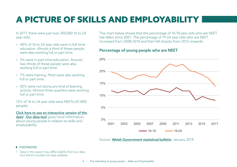# <span id="page-4-0"></span>A PICTURE OF SKILLS AND EMPLOYABILITY

In 2017, there were just over 350,000 16 to 24 year olds.

- 40% of 16 to 24 year olds were in full-time education. Almost a third of these people were also working full or part time.
- 3% were in part-time education. Around two-thirds of these people were also working full or part time.
- 7% were training. Most were also working full or part time.
- 50% were not doing any kind of learning activity. Almost three-quarters were working full or part time.

12% of 16 to 24 year olds were NEETs (41,800 people).

#### [Click here to see an interactive version of the](https://app.powerbi.com/view?r=eyJrIjoiZTk5ZTI0Y2EtYThlZC00NTdkLTg0MzMtMjU3ZGU2YjM5ZDJiIiwidCI6ImRmZDY5MmYwLTE2YmYtNDQ0OS04OGUzLWU3NzM1ZGZjY2ZlOCIsImMiOjh9)  **<u>data<sup>1</sup>. [Our data tool](https://app.powerbi.com/view?r=eyJrIjoiOTU0YzA3ZmEtNzBmZi00OTgwLWI5MjktNGUyOWRmMDNkYzI4IiwidCI6ImRmZDY5MmYwLTE2YmYtNDQ0OS04OGUzLWU3NzM1ZGZjY2ZlOCIsImMiOjh9)</u>** gives more information about young people in relation to skills and employability.

The chart below shows that the percentage of 16-18 year olds who are NEET has fallen since 2001. The percentage of 19-24 year olds who are NEET increased from 2008-2010 and then fell sharply from 2012 onwards.

## Percentage of young people who are NEET



Source: [Welsh Government statistical bulletin](https://gov.wales/statistics-and-research/young-people-not-education-employment-training/?lang=en), January 2019.

### **FOOTNOTES**

1 Data in this report may differ slightly from our data tool which includes live data updates.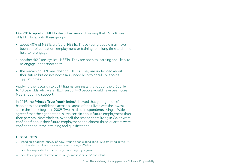[Our 2014 report on NEETs](http://www.audit.wales/system/files/publications/NEETs_Report_National_version_2014_English.pdf) described research saying that 16 to 18 year olds NEETs fall into three groups:

- about 40% of NEETs are 'core' NEETs. These young people may have been out of education, employment or training for a long time and need help to re-engage.
- another 40% are 'cyclical' NEETs. They are open to learning and likely to re-engage in the short term.
- the remaining 20% are 'floating' NEETs. They are undecided about their future but do not necessarily need help to decide or access opportunities.

Applying the research to 2017 figures suggests that out of the 8,600 16 to 18 year olds who were NEET, just 3,440 people would have been core NEETs requiring support.

In 2019, the <mark>[Prince's Trust Youth Index](https://www.princes-trust.org.uk/about-the-trust/research-policies-reports/youth-index-2019)</mark><sup>2</sup> showed that young people's happiness and confidence across all areas of their lives was the lowest since the index began in 2009. Two thirds of respondents living in Wales agreed<sup>3</sup> that their generation is less certain about future employment than their parents. Nevertheless, over half the respondents living in Wales were confident4 about their future employment and almost three-quarters were confident about their training and qualifications.

#### **FOOTNOTES**

- 2 Based on a national survey of 2,162 young people aged 16 to 25 years living in the UK. Two-hundred and five respondents were living in Wales.
- 3 Includes respondents who 'strongly' and 'slightly' agreed.
- 4 Includes respondents who were 'fairly', 'mostly' or 'very' confident.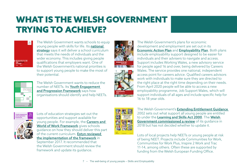# <span id="page-6-0"></span>WHAT IS THE WELSH GOVERNMENT TRYING TO ACHIEVE?



The Welsh Government wants schools to equip young people with skills for life. Its national [strategy](https://gov.wales/docs/strategies/170919-prosperity-for-all-en.pdf) says it will deliver a school curriculum that meets the needs of individuals and the wider economy. This includes giving people qualifications that employers want. One of the Welsh Government's national priorities is to support young people to make the most of their potential.



The Welsh Government wants to reduce the number of NEETs. Its Youth Engagement [and Progression Framework](https://beta.gov.wales/sites/default/files/publications/2018-02/implementation-plan-youth-engagement-and-progression-framework.pdf) says how organisations should identify and help NEETs.





The Welsh Government's plans for economic development and employment are set out in its [Economic Action Plan](https://gov.wales/docs/det/publications/171213-economic-action-plan-en.pdf) and [Employability Plan](https://beta.gov.wales/sites/default/files/publications/2018-04/employability-plan.pdf). Both plans include employability support designed to be easier for individuals and their advisers to navigate and access. Support includes Working Wales, a new advisory service for people aged 16 and over, being delivered by Careers Wales. The service provides one national, independent access point for careers advice. Qualified careers advisors work with individuals to make sure they are directed to the right place at the right time depending on their needs. From April 2020 people will be able to access a new employability programme, Job Support Wales, which will support individuals of all ages and include specific help for 16 to 18 year olds.



Lots of education strategies set out the opportunities and support available for young people. For example, the [Careers and](http://learning.gov.wales/resources/browse-all/careers-world-of-work/?lang=en)  [World of Work Framework](http://learning.gov.wales/resources/browse-all/careers-world-of-work/?lang=en) gives schools guidance on how they should deliver this part of the current curriculum. **Estyn reviewed** [the implementation of the framework](https://www.estyn.gov.wales/thematic-reports/careers-implementation-careers-and-world-work-framework-secondary-schools) in September 2017. It recommended that

the Welsh Government should review the framework and update its guidance.



The Welsh Government's [Extending Entitlement Guidance](https://beta.gov.wales/sites/default/files/publications/2018-02/direction-and-guidance-extending-entitlement-support-for-11-to-25-year-olds-in-wales.pdf)  2002 sets out what support all young people are entitled to under the [Learning and Skills Act 2000](https://www.legislation.gov.uk/ukpga/2000/21/contents). The [Welsh](https://gov.wales/sites/default/files/publications/2018-04/180316-our-future-a-review-of-extending-entitlement_0.pdf)  [Government commissioned a review](https://gov.wales/sites/default/files/publications/2018-04/180316-our-future-a-review-of-extending-entitlement_0.pdf) of its guidance in 2018 but has not decided whether to update it.

Lots of local projects help NEETs or young people at risk of being NEET. Projects include Communities for Work, Communities for Work Plus, Inspire 2 Work and Trac 11-14, among others. Often these are supported by funding from the Welsh European Funding Office.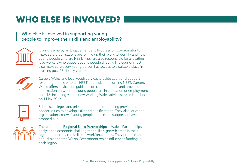# <span id="page-7-0"></span>WHO ELSE IS INVOLVED?

# Who else is involved in supporting young people to improve their skills and employability?



Councils employ an Engagement and Progression Co-ordinator to make sure organisations are joining up their work to identify and help young people who are NEET. They are also responsible for allocating lead workers who support young people directly. The council must also make sure every young person has access to a suitable place in learning post-16, if they want it.



Careers Wales and local youth services provide additional support for young people who are NEET or at risk of becoming NEET. Careers Wales offers advice and guidance on career options and provides information on whether young people are in education or employment post-16, including via the new Working Wales advice service launched on 1 May 2019.



Schools, colleges and private or third-sector training providers offer opportunities to develop skills and qualifications. They also let other organisations know if young people need more support or have dropped out.



There are three **[Regional Skills Partnerships](https://businesswales.gov.wales/skillsgateway/regional-skills-partnerships)** in Wales. Partnerships analyse the economic challenges and likely growth areas in their region, to identify the skills the workforce needs. They produce an annual plan for the Welsh Government which influences funding in each region.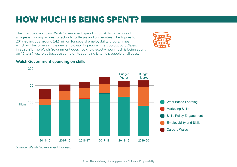# <span id="page-8-0"></span>HOW MUCH IS BEING SPENT?

The chart below shows Welsh Government spending on skills for people of all ages excluding money for schools, colleges and universities. The figures for 2019-20 include around £42 million for several employability programmes which will become a single new employability programme, Job Support Wales, in 2020-21. The Welsh Government does not know exactly how much is being spent on 16 to 24 year olds because some of its spending is to help people of all ages.



## Welsh Government spending on skills



Source: Welsh Government figures.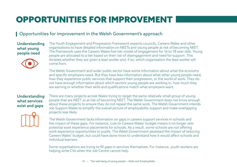# <span id="page-9-0"></span>OPPORTUNITIES FOR IMPROVEMENT

# Opportunities for improvement in the Welsh Government's approach

### Understanding what young people need



The Youth Engagement and Progression Framework expects councils, Careers Wales and other organisations to have detailed information on NEETs and young people at risk of becoming NEET. The Framework uses the Careers Wales five-tier model of engagement for 16 to 18 year olds. Young people are allocated to a tier based on their risk of disengagement and need for support. This dictates whether they are given a lead worker and, if so, which organisation the lead worker will come from.

The Welsh Government and wider public sector have some information about what the economy and specific employers need. But they have less information about what other young people need, how they experience public services that support their progression, or the world of work. They do not have enough information about which sectors young people are working in, how much they are earning or whether their skills and qualifications match what employers want.

### Understanding what services exist and gaps

There are many projects across Wales trying to target the same relatively small group of young people that are NEET or at risk of becoming NEET. The Welsh Government does not know enough about these projects to ensure they do not repeat the same work. The Welsh Government intends Job Support Wales to simplify the overall picture of employability support and make overlapping projects less likely.



The Welsh Government lacks information on gaps in careers support services in schools and the impact of these gaps. For instance, cuts to Careers Wales' budget means it no longer vets potential work experience placements for schools. As a result, some schools are not offering work experience opportunities to pupils. The Welsh Government assessed the impact of reducing Careers Wales' budget, but could have done more to understand how it would affect schools and individual learners.

Some organisations are trying to fill gaps in services themselves. For instance, youth workers are helping write CVs when the Job Centre cannot help.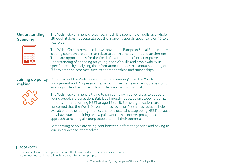## Understanding Spending

The Welsh Government knows how much it is spending on skills as a whole, although it does not separate out the money it spends specifically on 16 to 24 year olds.



The Welsh Government also knows how much European Social Fund money is being spent on projects that relate to youth employment and attainment. There are opportunities for the Welsh Government to further improve its understanding of spending on young people's skills and employability in specific areas by analysing the information it already has about spending on EU projects and schemes such as apprenticeships and traineeships.

## Joining up policy making

Other parts of the Welsh Government are learning<sup>s</sup> from the Youth Engagement and Progression Framework. The Framework encourages joint working while allowing flexibility to decide what works locally.



The Welsh Government is trying to join up its own policy areas to support young people's progression. But, it still mostly focusses on stopping a small minority from becoming NEET at age 16 to 18. Some organisations are concerned that the Welsh Government's focus on NEETs has reduced help available for other young people, and for those who stop being NEET because they have started training or low paid work. It has not yet got a joined-up approach to helping all young people to fulfil their potential.

Some young people are being sent between different agencies and having to join up services for themselves.

### **ECOTNOTES**

5 The Welsh Government plans to adapt the Framework and use it for work on youth homelessness and mental health support for young people.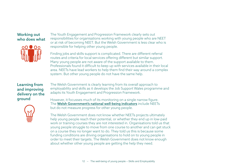## Working out who does what



The Youth Engagement and Progression Framework clearly sets out responsibilities for organisations working with young people who are NEET or at risk of becoming NEET. But the Welsh Government is less clear who is responsible for helping other young people.

Finding jobs and skills support is complicated. There are different referral routes and criteria for local services offering different but similar support. Many young people are not aware of the support available to them. Professionals found it difficult to keep up with services available in their local area. NEETs have lead workers to help them find their way around a complex system. But other young people do not have the same help.

## Learning from and improving delivery on the ground

The Welsh Government is clearly learning from its overall approach to employability and skills as it develops the Job Support Wales programme and adapts its Youth Engagement and Progression Framework.



However, it focusses much of its monitoring on a single narrow figure. The [Welsh Government's national well-being indicators](https://gov.wales/docs/statistics/2018/180326-well-being-wales-2016-17-seven-goals-en.pdf) include NEETs but do not measure progress for other young people.

The Welsh Government does not know whether NEETs projects ultimately help young people reach their potential, or whether they end up in low-paid work or training courses they are not interested in. Organisations told us that young people struggle to move from one course to another and can get stuck on a course they no longer want to do. They told us this is because some funding conditions are driving organisations to hold on to young people in order to meet their targets. The Welsh Government does not know enough about whether other young people are getting the help they need.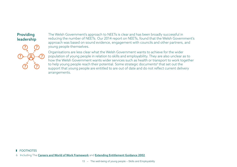## Providing leadership

The Welsh Government's approach to NEETs is clear and has been broadly successful in reducing the number of NEETs. Our 2014 report on NEETs, found that the Welsh Government's approach was based on sound evidence, engagement with councils and other partners, and young people themselves.

Organisations are less clear what the Welsh Government wants to achieve for the wider population of young people in relation to skills and employability. They are also unclear as to how the Welsh Government wants wider services such as health or transport to work together to help young people reach their potential. Some strategic documents<sup>6</sup> that set out the support that young people are entitled to are out of date and do not reflect current delivery arrangements.

#### **ECOTNOTES**

6 Including The [Careers and World of Work Framework](http://learning.gov.wales/resources/browse-all/careers-world-of-work/?lang=en) and [Extending Entitlement Guidance 2002](https://beta.gov.wales/sites/default/files/publications/2018-02/direction-and-guidance-extending-entitlement-support-for-11-to-25-year-olds-in-wales.pdf).